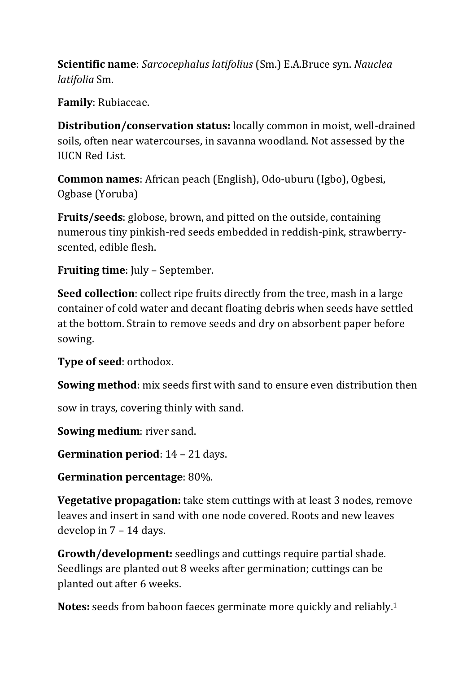**Scientific name**: *Sarcocephalus latifolius* (Sm.) E.A.Bruce syn. *Nauclea latifolia* Sm.

**Family**: Rubiaceae.

**Distribution/conservation status:** locally common in moist, well-drained soils, often near watercourses, in savanna woodland. Not assessed by the IUCN Red List.

**Common names**: African peach (English), Odo-uburu (Igbo), Ogbesi, Ogbase (Yoruba)

**Fruits/seeds**: globose, brown, and pitted on the outside, containing numerous tiny pinkish-red seeds embedded in reddish-pink, strawberryscented, edible flesh.

**Fruiting time**: July – September.

**Seed collection**: collect ripe fruits directly from the tree, mash in a large container of cold water and decant floating debris when seeds have settled at the bottom. Strain to remove seeds and dry on absorbent paper before sowing.

**Type of seed**: orthodox.

**Sowing method**: mix seeds first with sand to ensure even distribution then

sow in trays, covering thinly with sand.

**Sowing medium**: river sand.

**Germination period**: 14 – 21 days.

**Germination percentage**: 80%.

**Vegetative propagation:** take stem cuttings with at least 3 nodes, remove leaves and insert in sand with one node covered. Roots and new leaves develop in 7 – 14 days.

**Growth/development:** seedlings and cuttings require partial shade. Seedlings are planted out 8 weeks after germination; cuttings can be planted out after 6 weeks.

**Notes:** seeds from baboon faeces germinate more quickly and reliably.1